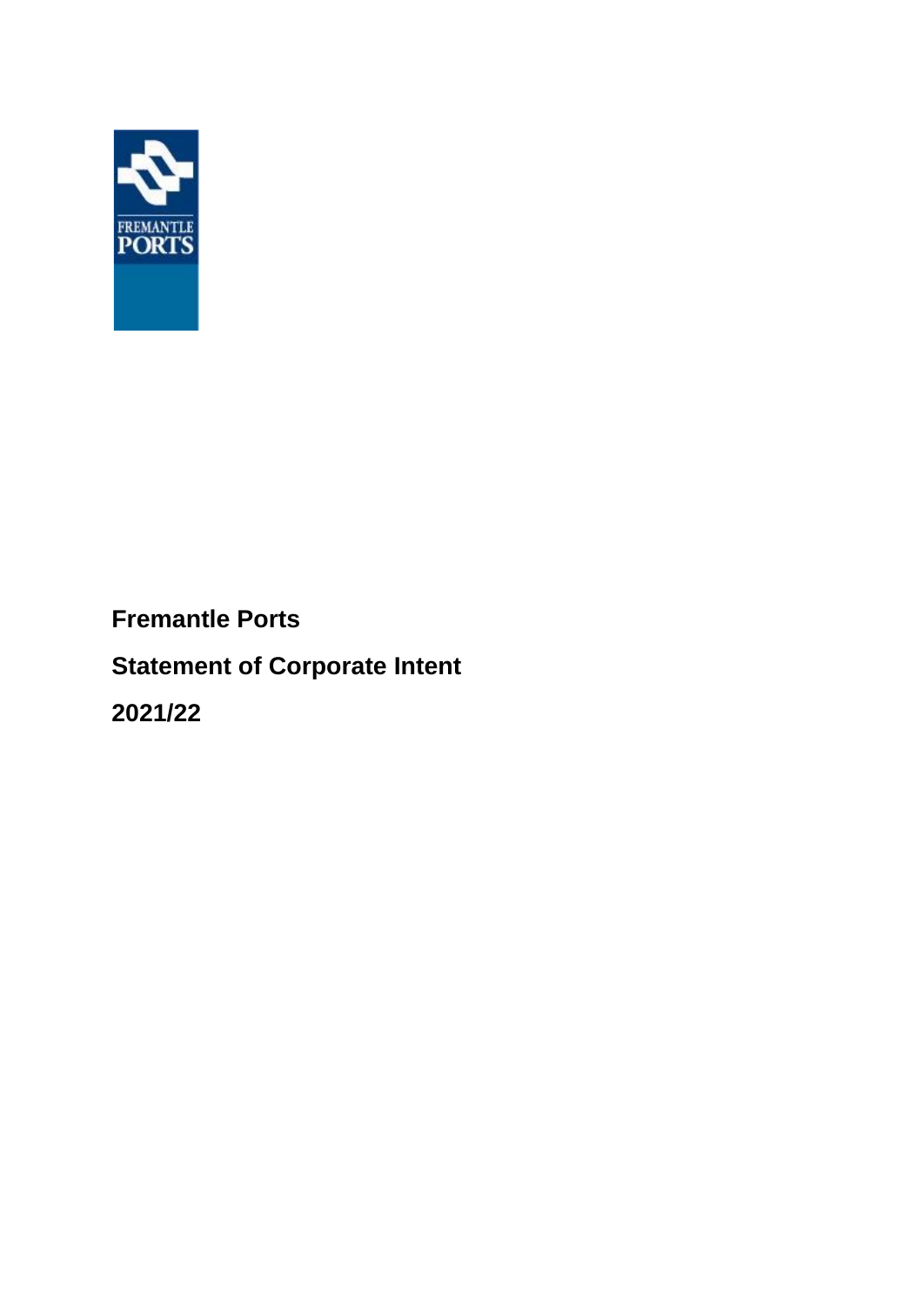

## **Fremantle Ports**

# **Statement of Corporate Intent**

**2021/22**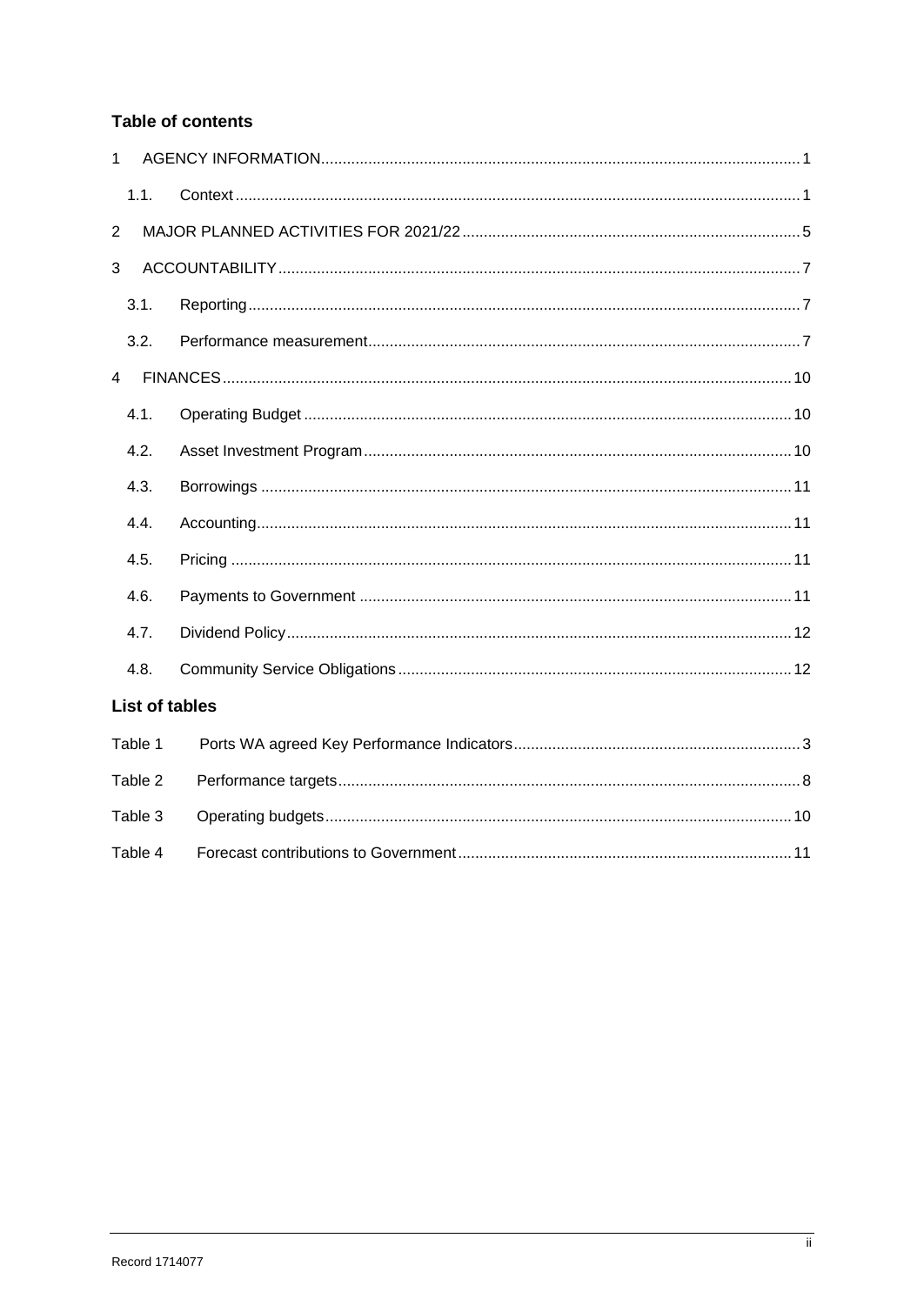## **Table of contents**

| 1              |         |                       |
|----------------|---------|-----------------------|
|                | 1.1.    |                       |
| $\overline{2}$ |         |                       |
| 3              |         |                       |
|                | 3.1.    |                       |
|                | 3.2.    |                       |
| $\overline{4}$ |         |                       |
|                | 4.1.    |                       |
|                | 4.2.    |                       |
|                | 4.3.    |                       |
|                | 4.4.    |                       |
|                | 4.5.    |                       |
|                | 4.6.    |                       |
|                | 4.7.    |                       |
|                | 4.8.    |                       |
|                |         | <b>List of tables</b> |
| Table 1        |         |                       |
|                | Table 2 |                       |
|                | Table 3 |                       |
|                | Table 4 |                       |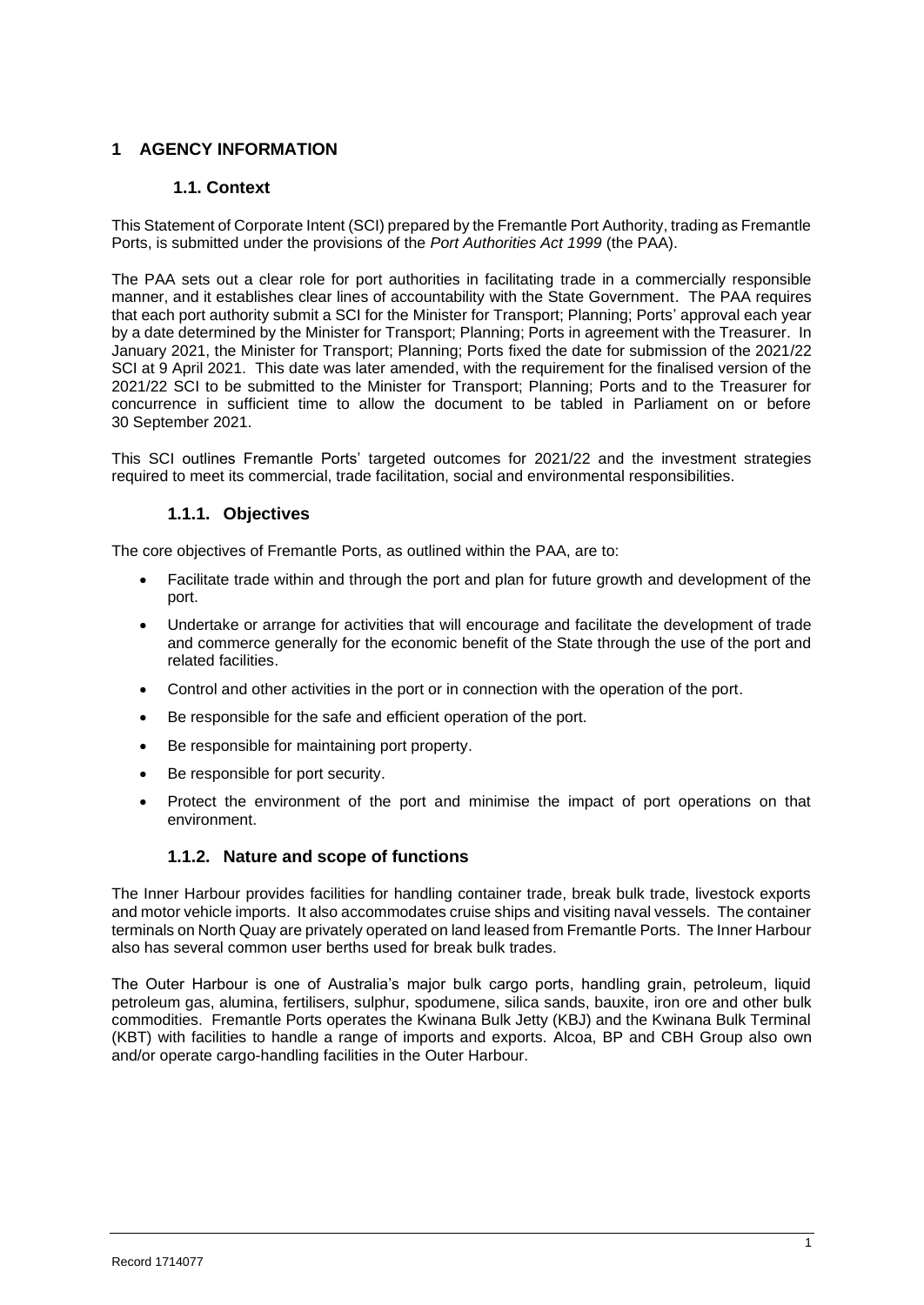## **1 AGENCY INFORMATION**

### **1.1. Context**

This Statement of Corporate Intent (SCI) prepared by the Fremantle Port Authority, trading as Fremantle Ports, is submitted under the provisions of the *Port Authorities Act 1999* (the PAA).

The PAA sets out a clear role for port authorities in facilitating trade in a commercially responsible manner, and it establishes clear lines of accountability with the State Government. The PAA requires that each port authority submit a SCI for the Minister for Transport; Planning; Ports' approval each year by a date determined by the Minister for Transport; Planning; Ports in agreement with the Treasurer. In January 2021, the Minister for Transport; Planning; Ports fixed the date for submission of the 2021/22 SCI at 9 April 2021. This date was later amended, with the requirement for the finalised version of the 2021/22 SCI to be submitted to the Minister for Transport; Planning; Ports and to the Treasurer for concurrence in sufficient time to allow the document to be tabled in Parliament on or before 30 September 2021.

This SCI outlines Fremantle Ports' targeted outcomes for 2021/22 and the investment strategies required to meet its commercial, trade facilitation, social and environmental responsibilities.

#### **1.1.1. Objectives**

The core objectives of Fremantle Ports, as outlined within the PAA, are to:

- Facilitate trade within and through the port and plan for future growth and development of the port.
- Undertake or arrange for activities that will encourage and facilitate the development of trade and commerce generally for the economic benefit of the State through the use of the port and related facilities.
- Control and other activities in the port or in connection with the operation of the port.
- Be responsible for the safe and efficient operation of the port.
- Be responsible for maintaining port property.
- Be responsible for port security.
- Protect the environment of the port and minimise the impact of port operations on that environment.

## **1.1.2. Nature and scope of functions**

The Inner Harbour provides facilities for handling container trade, break bulk trade, livestock exports and motor vehicle imports. It also accommodates cruise ships and visiting naval vessels. The container terminals on North Quay are privately operated on land leased from Fremantle Ports. The Inner Harbour also has several common user berths used for break bulk trades.

The Outer Harbour is one of Australia's major bulk cargo ports, handling grain, petroleum, liquid petroleum gas, alumina, fertilisers, sulphur, spodumene, silica sands, bauxite, iron ore and other bulk commodities. Fremantle Ports operates the Kwinana Bulk Jetty (KBJ) and the Kwinana Bulk Terminal (KBT) with facilities to handle a range of imports and exports. Alcoa, BP and CBH Group also own and/or operate cargo-handling facilities in the Outer Harbour.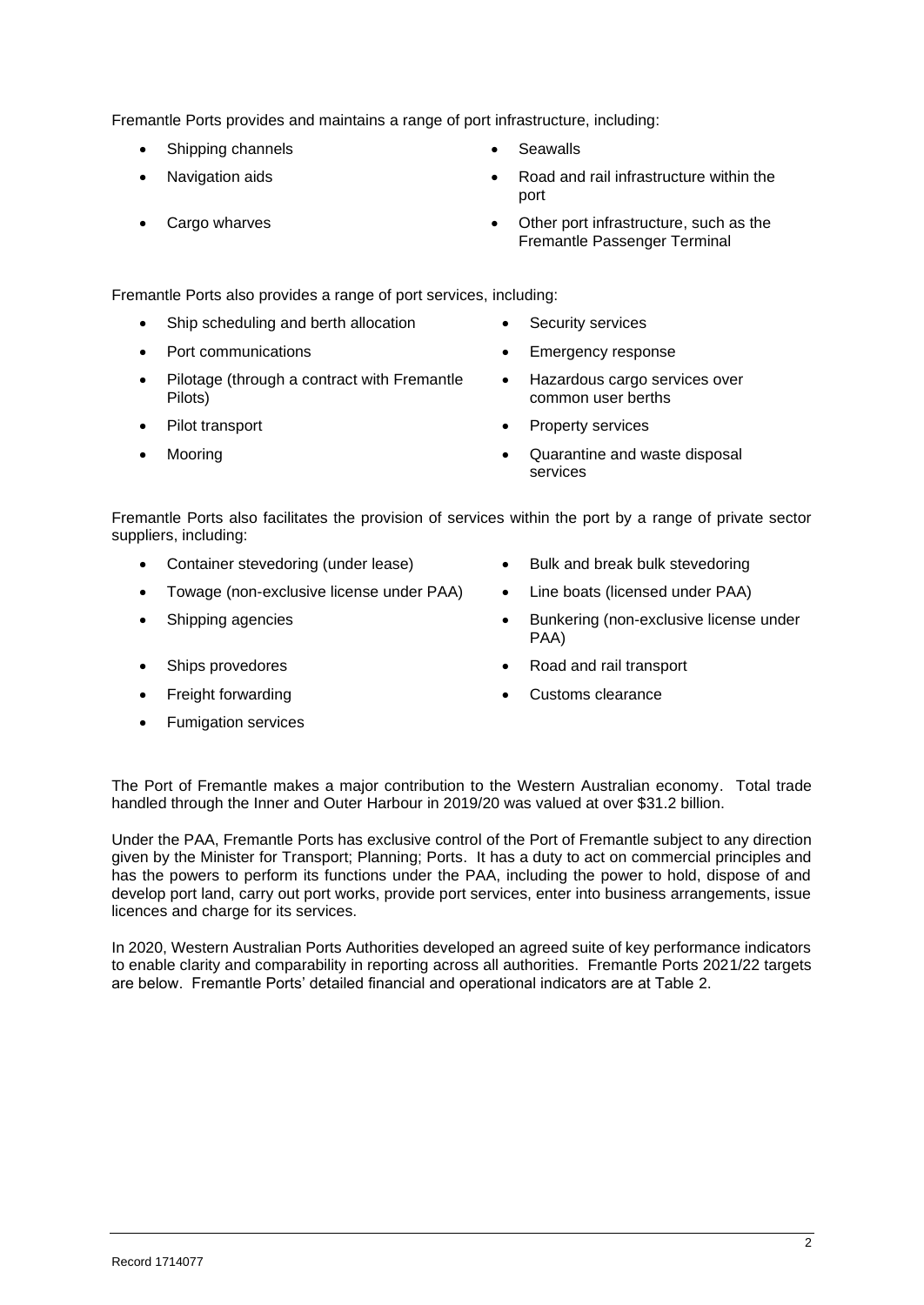Fremantle Ports provides and maintains a range of port infrastructure, including:

- Shipping channels **•** Seawalls
- 
- 
- 
- Navigation aids Road and rail infrastructure within the port
- Cargo wharves Cargo wharves Other port infrastructure, such as the Fremantle Passenger Terminal

Fremantle Ports also provides a range of port services, including:

- Ship scheduling and berth allocation Security services
- 
- Pilotage (through a contract with Fremantle Pilots)
- 
- 
- 
- Port communications **•** Emergency response
	- Hazardous cargo services over common user berths
- Pilot transport **•** Property services
- Mooring Quarantine and waste disposal services

Fremantle Ports also facilitates the provision of services within the port by a range of private sector suppliers, including:

- Container stevedoring (under lease) Bulk and break bulk stevedoring
- Towage (non-exclusive license under PAA) Line boats (licensed under PAA)
- 
- 
- 
- Fumigation services
- 
- 
- Shipping agencies  **Bunkering (non-exclusive license under** PAA)
	- Ships provedores Road and rail transport
- Freight forwarding example and the Customs clearance

The Port of Fremantle makes a major contribution to the Western Australian economy. Total trade handled through the Inner and Outer Harbour in 2019/20 was valued at over \$31.2 billion.

Under the PAA, Fremantle Ports has exclusive control of the Port of Fremantle subject to any direction given by the Minister for Transport; Planning; Ports. It has a duty to act on commercial principles and has the powers to perform its functions under the PAA, including the power to hold, dispose of and develop port land, carry out port works, provide port services, enter into business arrangements, issue licences and charge for its services.

In 2020, Western Australian Ports Authorities developed an agreed suite of key performance indicators to enable clarity and comparability in reporting across all authorities. Fremantle Ports 2021/22 targets are below. Fremantle Ports' detailed financial and operational indicators are at Table 2.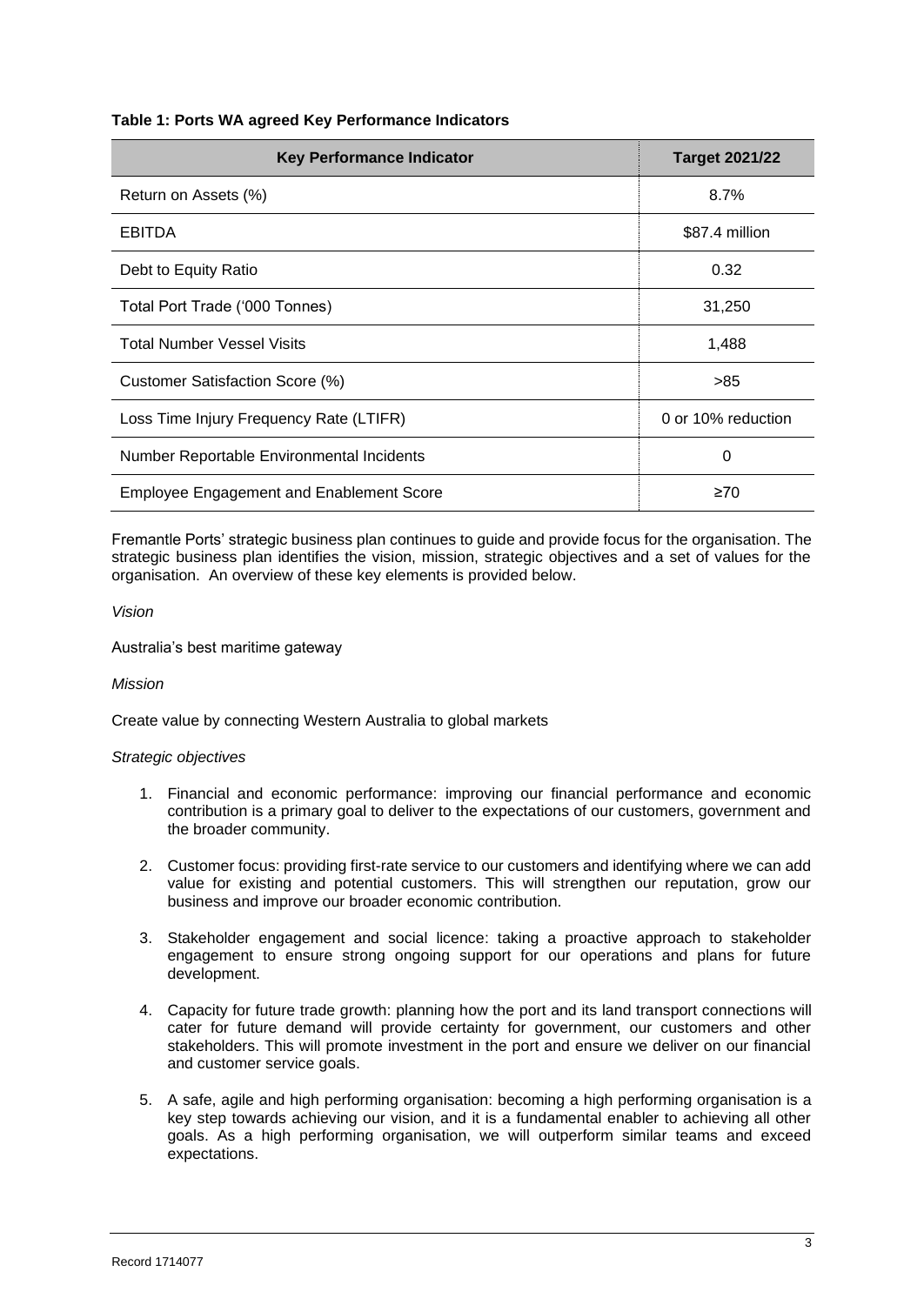#### **Table 1: Ports WA agreed Key Performance Indicators**

| <b>Key Performance Indicator</b>                | <b>Target 2021/22</b> |
|-------------------------------------------------|-----------------------|
| Return on Assets (%)                            | 8.7%                  |
| <b>EBITDA</b>                                   | \$87.4 million        |
| Debt to Equity Ratio                            | 0.32                  |
| Total Port Trade ('000 Tonnes)                  | 31,250                |
| <b>Total Number Vessel Visits</b>               | 1,488                 |
| Customer Satisfaction Score (%)                 | >85                   |
| Loss Time Injury Frequency Rate (LTIFR)         | 0 or 10% reduction    |
| Number Reportable Environmental Incidents       | 0                     |
| <b>Employee Engagement and Enablement Score</b> | $\geq 70$             |

Fremantle Ports' strategic business plan continues to guide and provide focus for the organisation. The strategic business plan identifies the vision, mission, strategic objectives and a set of values for the organisation. An overview of these key elements is provided below.

#### *Vision*

Australia's best maritime gateway

#### *Mission*

Create value by connecting Western Australia to global markets

#### *Strategic objectives*

- 1. Financial and economic performance: improving our financial performance and economic contribution is a primary goal to deliver to the expectations of our customers, government and the broader community.
- 2. Customer focus: providing first-rate service to our customers and identifying where we can add value for existing and potential customers. This will strengthen our reputation, grow our business and improve our broader economic contribution.
- 3. Stakeholder engagement and social licence: taking a proactive approach to stakeholder engagement to ensure strong ongoing support for our operations and plans for future development.
- 4. Capacity for future trade growth: planning how the port and its land transport connections will cater for future demand will provide certainty for government, our customers and other stakeholders. This will promote investment in the port and ensure we deliver on our financial and customer service goals.
- 5. A safe, agile and high performing organisation: becoming a high performing organisation is a key step towards achieving our vision, and it is a fundamental enabler to achieving all other goals. As a high performing organisation, we will outperform similar teams and exceed expectations.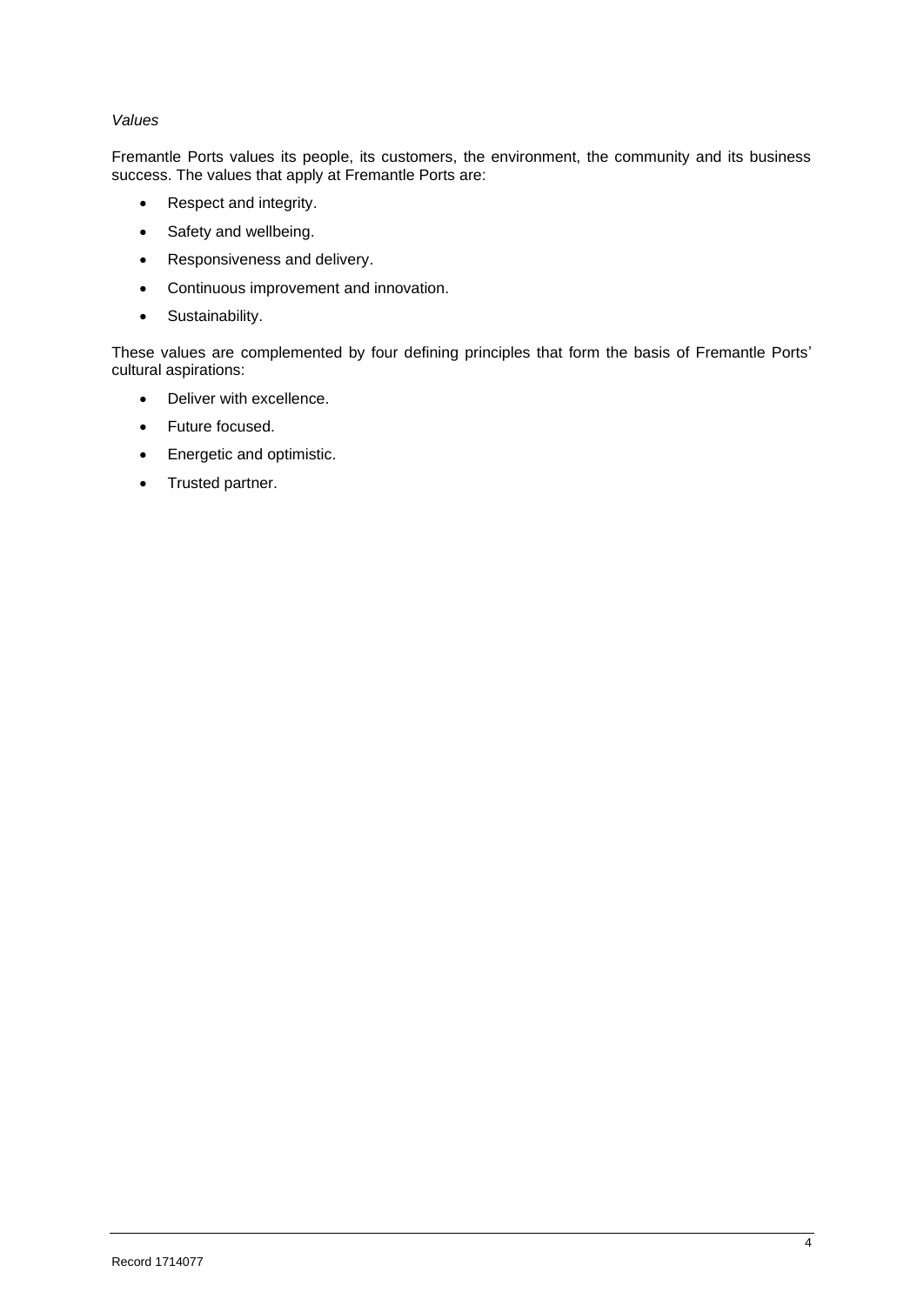#### *Values*

Fremantle Ports values its people, its customers, the environment, the community and its business success. The values that apply at Fremantle Ports are:

- Respect and integrity.
- Safety and wellbeing.
- Responsiveness and delivery.
- Continuous improvement and innovation.
- Sustainability.

These values are complemented by four defining principles that form the basis of Fremantle Ports' cultural aspirations:

- Deliver with excellence.
- Future focused.
- Energetic and optimistic.
- Trusted partner.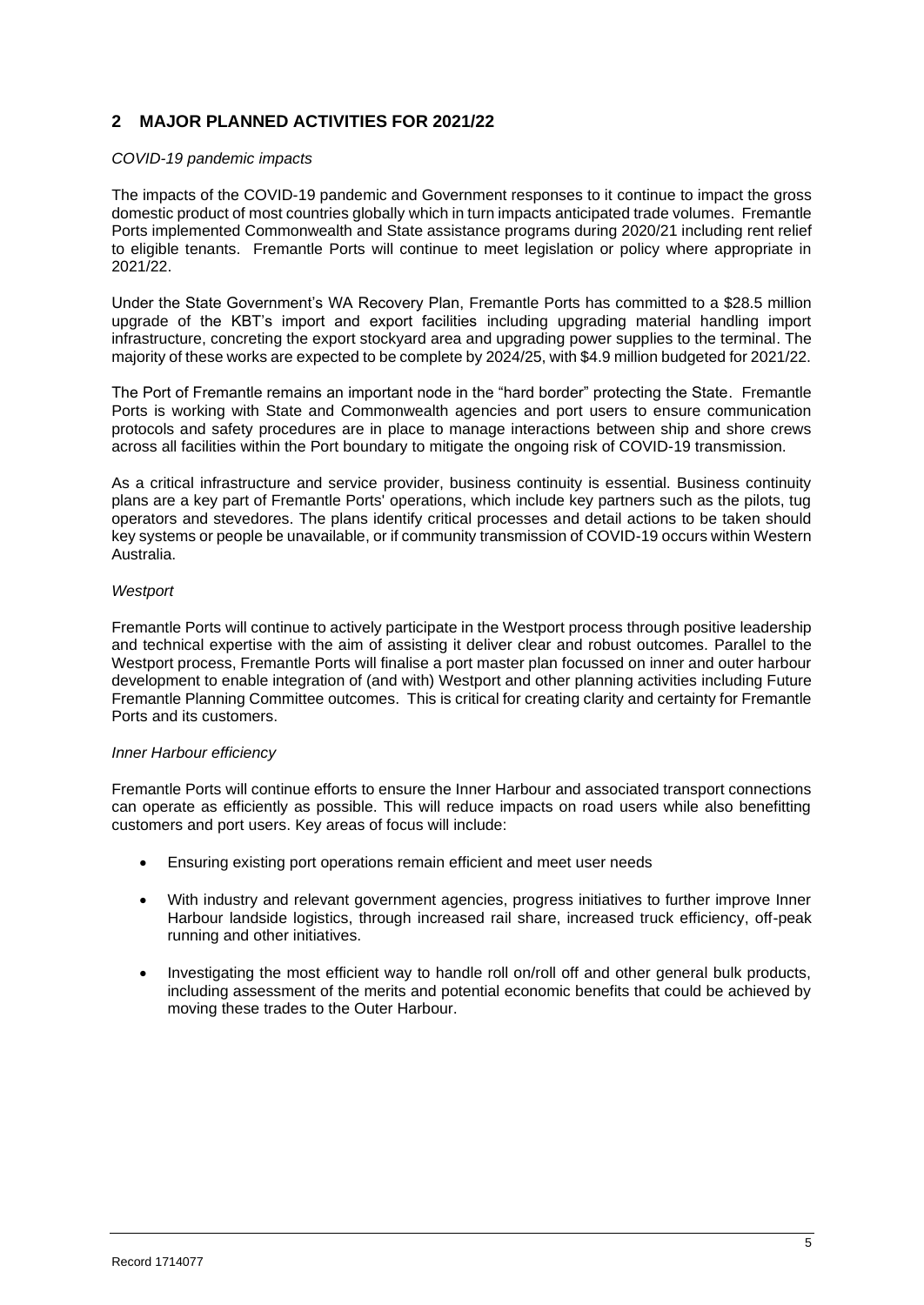## **2 MAJOR PLANNED ACTIVITIES FOR 2021/22**

#### *COVID-19 pandemic impacts*

The impacts of the COVID-19 pandemic and Government responses to it continue to impact the gross domestic product of most countries globally which in turn impacts anticipated trade volumes. Fremantle Ports implemented Commonwealth and State assistance programs during 2020/21 including rent relief to eligible tenants. Fremantle Ports will continue to meet legislation or policy where appropriate in 2021/22.

Under the State Government's WA Recovery Plan, Fremantle Ports has committed to a \$28.5 million upgrade of the KBT's import and export facilities including upgrading material handling import infrastructure, concreting the export stockyard area and upgrading power supplies to the terminal. The majority of these works are expected to be complete by 2024/25, with \$4.9 million budgeted for 2021/22.

The Port of Fremantle remains an important node in the "hard border" protecting the State. Fremantle Ports is working with State and Commonwealth agencies and port users to ensure communication protocols and safety procedures are in place to manage interactions between ship and shore crews across all facilities within the Port boundary to mitigate the ongoing risk of COVID-19 transmission.

As a critical infrastructure and service provider, business continuity is essential. Business continuity plans are a key part of Fremantle Ports' operations, which include key partners such as the pilots, tug operators and stevedores. The plans identify critical processes and detail actions to be taken should key systems or people be unavailable, or if community transmission of COVID-19 occurs within Western Australia.

#### *Westport*

Fremantle Ports will continue to actively participate in the Westport process through positive leadership and technical expertise with the aim of assisting it deliver clear and robust outcomes. Parallel to the Westport process, Fremantle Ports will finalise a port master plan focussed on inner and outer harbour development to enable integration of (and with) Westport and other planning activities including Future Fremantle Planning Committee outcomes. This is critical for creating clarity and certainty for Fremantle Ports and its customers.

#### *Inner Harbour efficiency*

Fremantle Ports will continue efforts to ensure the Inner Harbour and associated transport connections can operate as efficiently as possible. This will reduce impacts on road users while also benefitting customers and port users. Key areas of focus will include:

- Ensuring existing port operations remain efficient and meet user needs
- With industry and relevant government agencies, progress initiatives to further improve Inner Harbour landside logistics, through increased rail share, increased truck efficiency, off-peak running and other initiatives.
- Investigating the most efficient way to handle roll on/roll off and other general bulk products, including assessment of the merits and potential economic benefits that could be achieved by moving these trades to the Outer Harbour.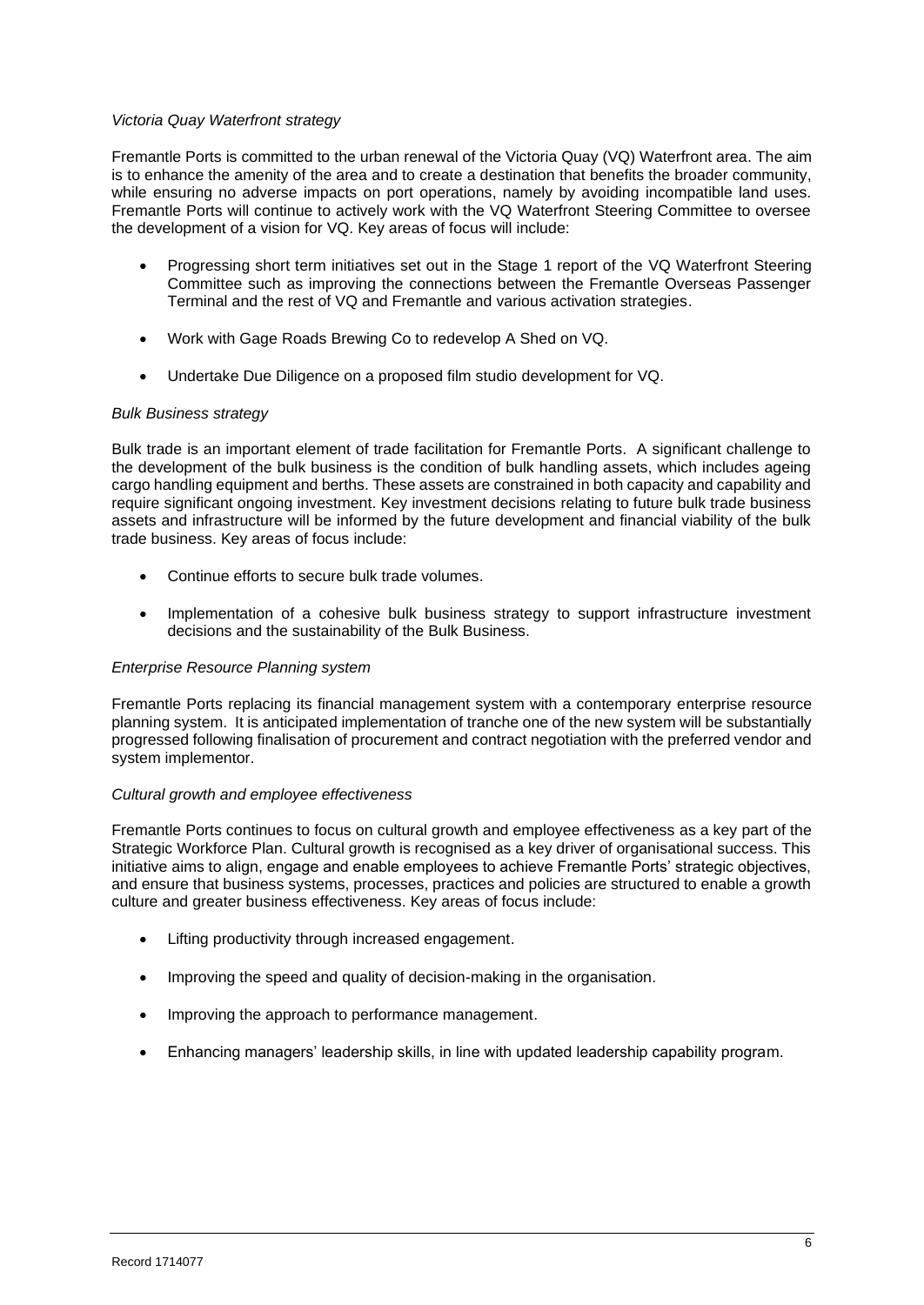#### *Victoria Quay Waterfront strategy*

Fremantle Ports is committed to the urban renewal of the Victoria Quay (VQ) Waterfront area. The aim is to enhance the amenity of the area and to create a destination that benefits the broader community, while ensuring no adverse impacts on port operations, namely by avoiding incompatible land uses. Fremantle Ports will continue to actively work with the VQ Waterfront Steering Committee to oversee the development of a vision for VQ. Key areas of focus will include:

- Progressing short term initiatives set out in the Stage 1 report of the VQ Waterfront Steering Committee such as improving the connections between the Fremantle Overseas Passenger Terminal and the rest of VQ and Fremantle and various activation strategies.
- Work with Gage Roads Brewing Co to redevelop A Shed on VQ.
- Undertake Due Diligence on a proposed film studio development for VQ.

#### *Bulk Business strategy*

Bulk trade is an important element of trade facilitation for Fremantle Ports. A significant challenge to the development of the bulk business is the condition of bulk handling assets, which includes ageing cargo handling equipment and berths. These assets are constrained in both capacity and capability and require significant ongoing investment. Key investment decisions relating to future bulk trade business assets and infrastructure will be informed by the future development and financial viability of the bulk trade business. Key areas of focus include:

- Continue efforts to secure bulk trade volumes.
- Implementation of a cohesive bulk business strategy to support infrastructure investment decisions and the sustainability of the Bulk Business.

#### *Enterprise Resource Planning system*

Fremantle Ports replacing its financial management system with a contemporary enterprise resource planning system. It is anticipated implementation of tranche one of the new system will be substantially progressed following finalisation of procurement and contract negotiation with the preferred vendor and system implementor.

#### *Cultural growth and employee effectiveness*

Fremantle Ports continues to focus on cultural growth and employee effectiveness as a key part of the Strategic Workforce Plan. Cultural growth is recognised as a key driver of organisational success. This initiative aims to align, engage and enable employees to achieve Fremantle Ports' strategic objectives, and ensure that business systems, processes, practices and policies are structured to enable a growth culture and greater business effectiveness. Key areas of focus include:

- Lifting productivity through increased engagement.
- Improving the speed and quality of decision-making in the organisation.
- Improving the approach to performance management.
- Enhancing managers' leadership skills, in line with updated leadership capability program.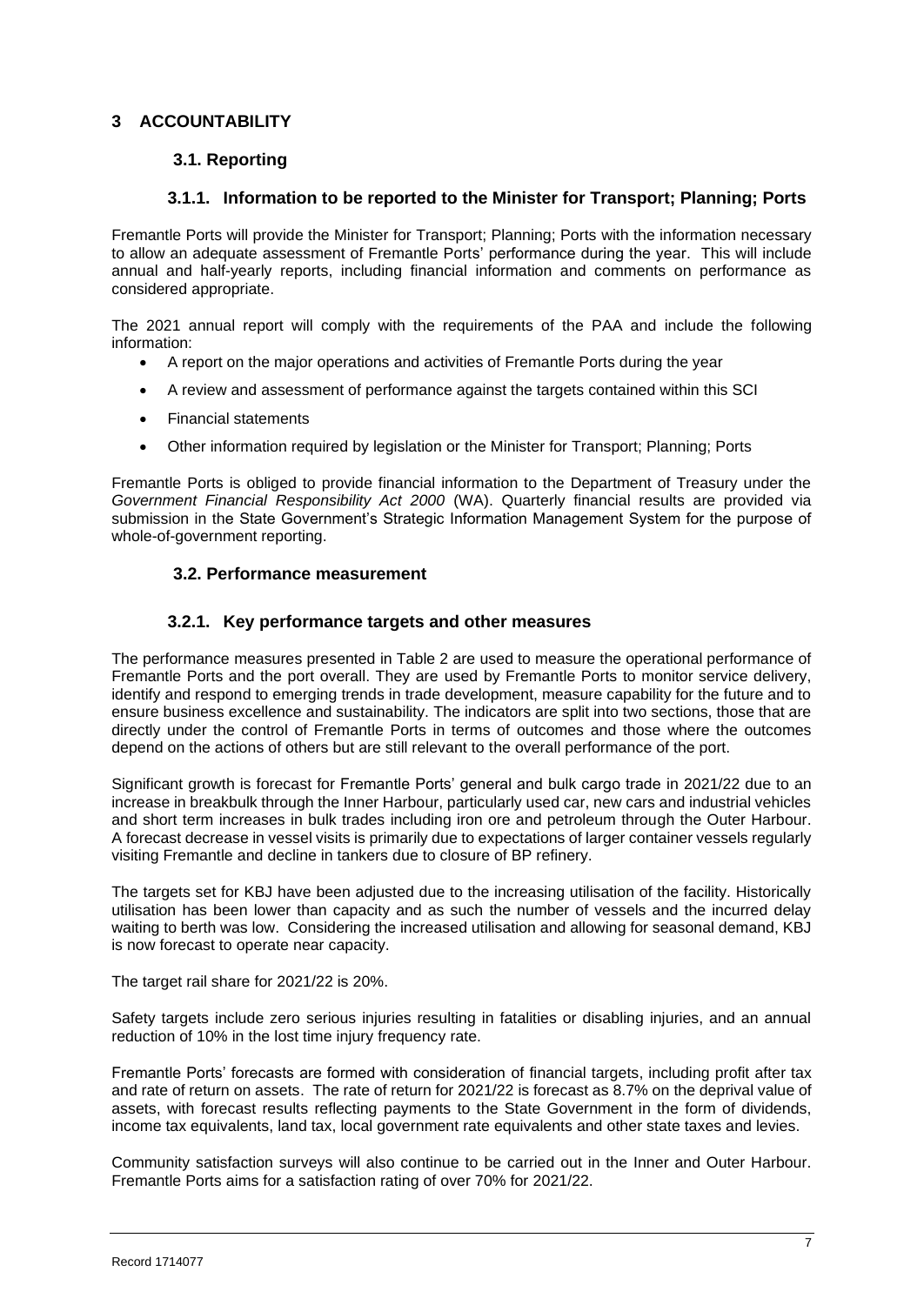## **3 ACCOUNTABILITY**

## **3.1. Reporting**

### **3.1.1. Information to be reported to the Minister for Transport; Planning; Ports**

Fremantle Ports will provide the Minister for Transport; Planning; Ports with the information necessary to allow an adequate assessment of Fremantle Ports' performance during the year. This will include annual and half-yearly reports, including financial information and comments on performance as considered appropriate.

The 2021 annual report will comply with the requirements of the PAA and include the following information:

- A report on the major operations and activities of Fremantle Ports during the year
- A review and assessment of performance against the targets contained within this SCI
- Financial statements
- Other information required by legislation or the Minister for Transport; Planning; Ports

Fremantle Ports is obliged to provide financial information to the Department of Treasury under the *Government Financial Responsibility Act 2000* (WA). Quarterly financial results are provided via submission in the State Government's Strategic Information Management System for the purpose of whole-of-government reporting.

## **3.2. Performance measurement**

## **3.2.1. Key performance targets and other measures**

The performance measures presented in Table 2 are used to measure the operational performance of Fremantle Ports and the port overall. They are used by Fremantle Ports to monitor service delivery, identify and respond to emerging trends in trade development, measure capability for the future and to ensure business excellence and sustainability. The indicators are split into two sections, those that are directly under the control of Fremantle Ports in terms of outcomes and those where the outcomes depend on the actions of others but are still relevant to the overall performance of the port.

Significant growth is forecast for Fremantle Ports' general and bulk cargo trade in 2021/22 due to an increase in breakbulk through the Inner Harbour, particularly used car, new cars and industrial vehicles and short term increases in bulk trades including iron ore and petroleum through the Outer Harbour. A forecast decrease in vessel visits is primarily due to expectations of larger container vessels regularly visiting Fremantle and decline in tankers due to closure of BP refinery.

The targets set for KBJ have been adjusted due to the increasing utilisation of the facility. Historically utilisation has been lower than capacity and as such the number of vessels and the incurred delay waiting to berth was low. Considering the increased utilisation and allowing for seasonal demand, KBJ is now forecast to operate near capacity.

The target rail share for 2021/22 is 20%.

Safety targets include zero serious injuries resulting in fatalities or disabling injuries, and an annual reduction of 10% in the lost time injury frequency rate.

Fremantle Ports' forecasts are formed with consideration of financial targets, including profit after tax and rate of return on assets. The rate of return for 2021/22 is forecast as 8.7% on the deprival value of assets, with forecast results reflecting payments to the State Government in the form of dividends, income tax equivalents, land tax, local government rate equivalents and other state taxes and levies.

Community satisfaction surveys will also continue to be carried out in the Inner and Outer Harbour. Fremantle Ports aims for a satisfaction rating of over 70% for 2021/22.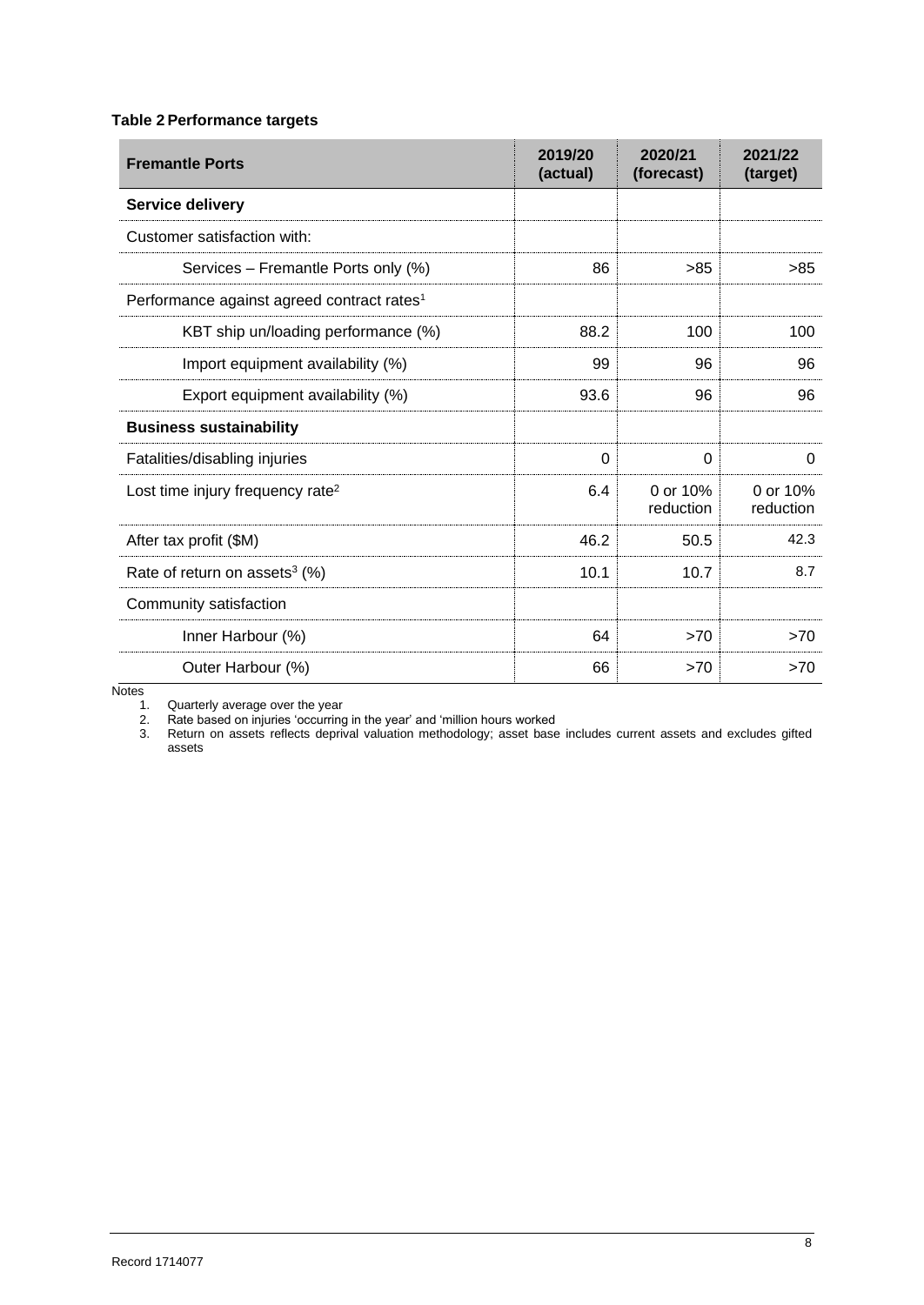## **Table 2 Performance targets**

| <b>Fremantle Ports</b>                                 | 2019/20<br>(actual) | 2020/21<br>(forecast) | 2021/22<br>(target)   |
|--------------------------------------------------------|---------------------|-----------------------|-----------------------|
| Service delivery                                       |                     |                       |                       |
| Customer satisfaction with:                            |                     |                       |                       |
| Services - Fremantle Ports only (%)                    | 86                  | >85                   | >85                   |
| Performance against agreed contract rates <sup>1</sup> |                     |                       |                       |
| KBT ship un/loading performance (%)                    | 88.2                | 100                   | 100                   |
| Import equipment availability (%)                      | 99                  | 96                    | 96                    |
| Export equipment availability (%)                      | 93.6                | 96                    | 96                    |
| <b>Business sustainability</b>                         |                     |                       |                       |
| Fatalities/disabling injuries                          | $\Omega$            | $\Omega$              | $\Omega$              |
| Lost time injury frequency rate <sup>2</sup>           | 6.4                 | 0 or 10%<br>reduction | 0 or 10%<br>reduction |
| After tax profit (\$M)                                 | 46.2                | 50.5                  | 42.3                  |
| Rate of return on assets <sup>3</sup> (%)              | 10.1                | 10.7                  | 8.7                   |
| Community satisfaction                                 |                     |                       |                       |
| Inner Harbour (%)                                      | 64                  | >70                   | >70                   |
| Outer Harbour (%)                                      | 66                  | >70                   | >70                   |

**Notes** 

1. Quarterly average over the year

2. Rate based on injuries 'occurring in the year' and 'million hours worked

3. Return on assets reflects deprival valuation methodology; asset base includes current assets and excludes gifted assets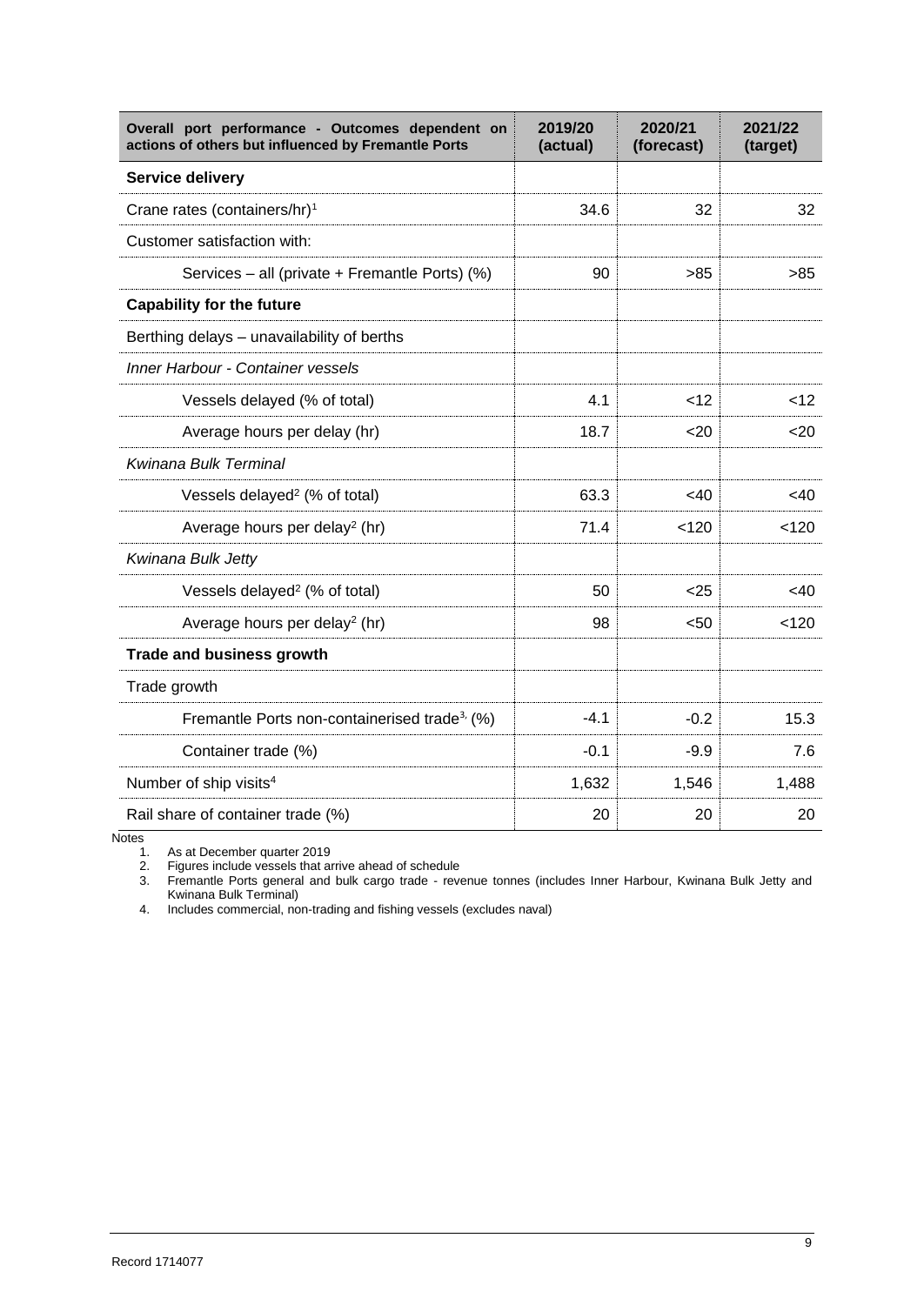| Overall port performance - Outcomes dependent on<br>actions of others but influenced by Fremantle Ports | 2019/20<br>(actual) | 2020/21<br>(forecast) | 2021/22<br>(target) |
|---------------------------------------------------------------------------------------------------------|---------------------|-----------------------|---------------------|
| Service delivery                                                                                        |                     |                       |                     |
| Crane rates (containers/hr) <sup>1</sup>                                                                | 34.6                | 32                    | 32                  |
| Customer satisfaction with:                                                                             |                     |                       |                     |
| Services - all (private + Fremantle Ports) (%)                                                          | 90                  | >85                   | >85                 |
| <b>Capability for the future</b>                                                                        |                     |                       |                     |
| Berthing delays - unavailability of berths                                                              |                     |                       |                     |
| <b>Inner Harbour - Container vessels</b>                                                                |                     |                       |                     |
| Vessels delayed (% of total)                                                                            | 4.1                 | $<$ 12                | < 12                |
| Average hours per delay (hr)                                                                            | 18.7                | 20                    | $20$                |
| Kwinana Bulk Terminal                                                                                   |                     |                       |                     |
| Vessels delayed <sup>2</sup> (% of total)                                                               | 63.3                | $<$ 40                | $<$ 40              |
| Average hours per delay <sup>2</sup> (hr)                                                               | 71.4                | < 120                 | < 120               |
| Kwinana Bulk Jetty                                                                                      |                     |                       |                     |
| Vessels delayed <sup>2</sup> (% of total)                                                               | 50                  | $25$                  | $<$ 40              |
| Average hours per delay <sup>2</sup> (hr)                                                               | 98                  | < 50                  | < 120               |
| <b>Trade and business growth</b>                                                                        |                     |                       |                     |
| Trade growth                                                                                            |                     |                       |                     |
| Fremantle Ports non-containerised trade <sup>3,</sup> (%)                                               | $-4.1$              | $-0.2$                | 15.3                |
| Container trade (%)                                                                                     | $-0.1$              | $-9.9$                | 7.6                 |
| Number of ship visits <sup>4</sup>                                                                      | 1,632               | 1,546                 | 1,488               |
| Rail share of container trade (%)                                                                       | 20                  | 20                    | 20                  |

 $Notes$   $1.$ <br>2.

As at December quarter 2019

2. Figures include vessels that arrive ahead of schedule

3. Fremantle Ports general and bulk cargo trade - revenue tonnes (includes Inner Harbour, Kwinana Bulk Jetty and Kwinana Bulk Terminal)

4. Includes commercial, non-trading and fishing vessels (excludes naval)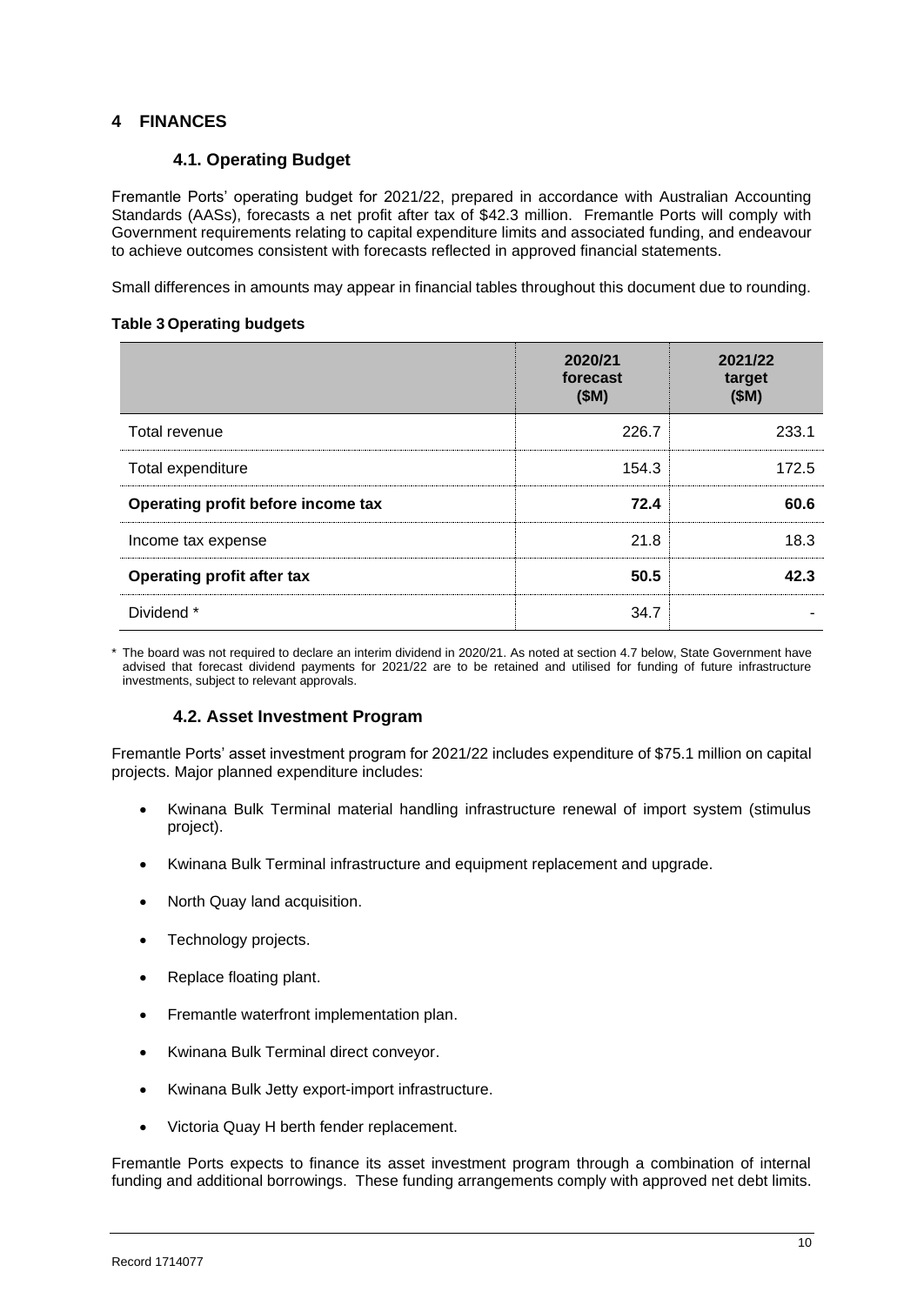## **4 FINANCES**

## **4.1. Operating Budget**

Fremantle Ports' operating budget for 2021/22, prepared in accordance with Australian Accounting Standards (AASs), forecasts a net profit after tax of \$42.3 million. Fremantle Ports will comply with Government requirements relating to capital expenditure limits and associated funding, and endeavour to achieve outcomes consistent with forecasts reflected in approved financial statements.

Small differences in amounts may appear in financial tables throughout this document due to rounding.

#### **Table 3 Operating budgets**

|                                    | 2020/21<br>forecast<br>(SM) | 2021/22<br>target<br>(SM) |
|------------------------------------|-----------------------------|---------------------------|
| Total revenue                      | 226.7                       | 233.1                     |
| Total expenditure                  | 154.3                       | 172.5                     |
| Operating profit before income tax | 72.4                        | 60.6                      |
| Income tax expense                 | 21.8                        | 18.3                      |
| <b>Operating profit after tax</b>  | 50.5                        | 42.3                      |
| Dividend *                         | 34.7                        |                           |

\* The board was not required to declare an interim dividend in 2020/21. As noted at section 4.7 below, State Government have advised that forecast dividend payments for 2021/22 are to be retained and utilised for funding of future infrastructure investments, subject to relevant approvals.

## **4.2. Asset Investment Program**

Fremantle Ports' asset investment program for 2021/22 includes expenditure of \$75.1 million on capital projects. Major planned expenditure includes:

- Kwinana Bulk Terminal material handling infrastructure renewal of import system (stimulus project).
- Kwinana Bulk Terminal infrastructure and equipment replacement and upgrade.
- North Quay land acquisition.
- Technology projects.
- Replace floating plant.
- Fremantle waterfront implementation plan.
- Kwinana Bulk Terminal direct conveyor.
- Kwinana Bulk Jetty export-import infrastructure.
- Victoria Quay H berth fender replacement.

Fremantle Ports expects to finance its asset investment program through a combination of internal funding and additional borrowings. These funding arrangements comply with approved net debt limits.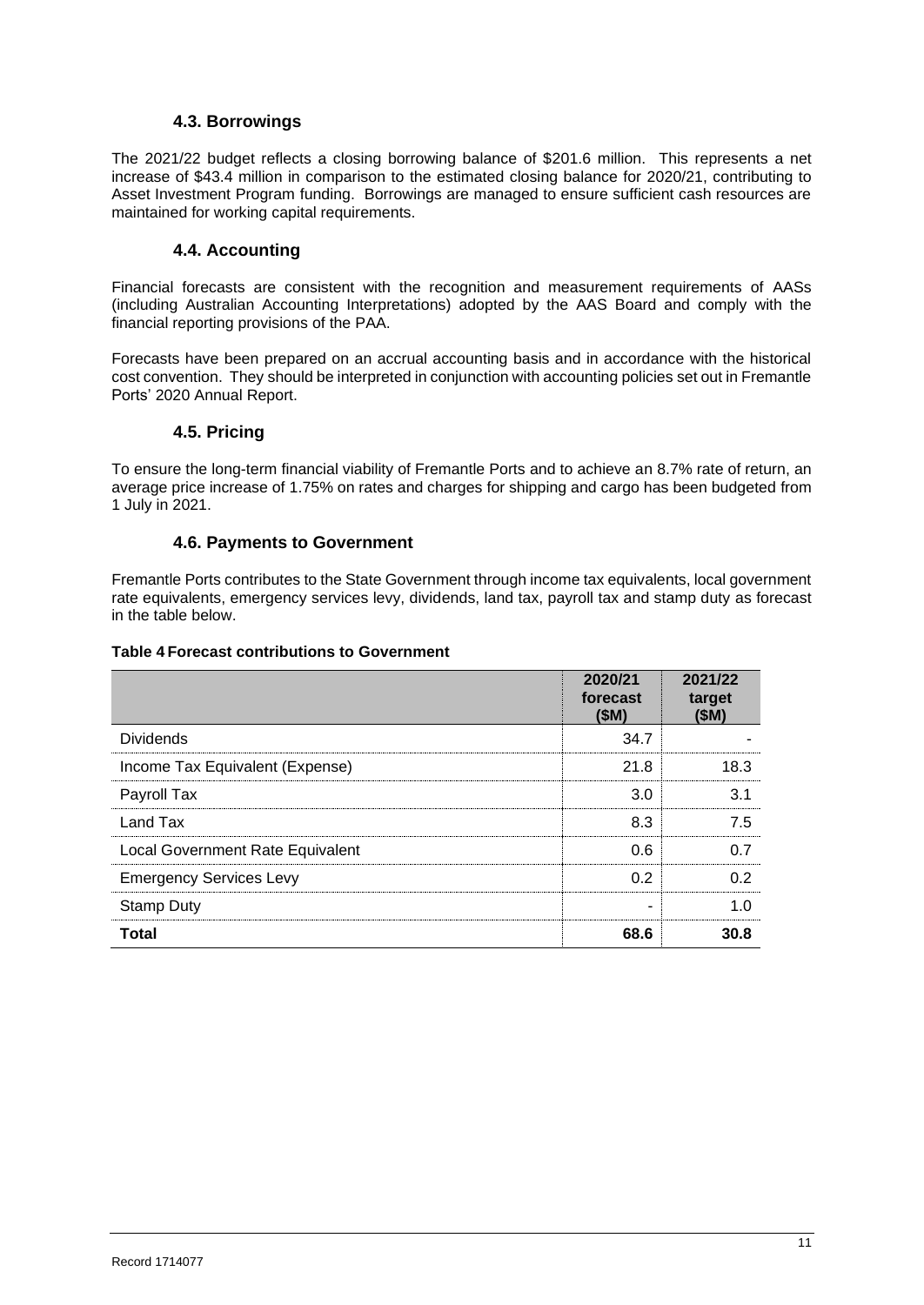### **4.3. Borrowings**

The 2021/22 budget reflects a closing borrowing balance of \$201.6 million. This represents a net increase of \$43.4 million in comparison to the estimated closing balance for 2020/21, contributing to Asset Investment Program funding. Borrowings are managed to ensure sufficient cash resources are maintained for working capital requirements.

## **4.4. Accounting**

Financial forecasts are consistent with the recognition and measurement requirements of AASs (including Australian Accounting Interpretations) adopted by the AAS Board and comply with the financial reporting provisions of the PAA.

Forecasts have been prepared on an accrual accounting basis and in accordance with the historical cost convention. They should be interpreted in conjunction with accounting policies set out in Fremantle Ports' 2020 Annual Report.

#### **4.5. Pricing**

To ensure the long-term financial viability of Fremantle Ports and to achieve an 8.7% rate of return, an average price increase of 1.75% on rates and charges for shipping and cargo has been budgeted from 1 July in 2021.

#### **4.6. Payments to Government**

Fremantle Ports contributes to the State Government through income tax equivalents, local government rate equivalents, emergency services levy, dividends, land tax, payroll tax and stamp duty as forecast in the table below.

#### **Table 4 Forecast contributions to Government**

|                                  | 2020/21<br>forecast<br>(SM) | 2021/22<br>target<br>(\$M) |
|----------------------------------|-----------------------------|----------------------------|
| <b>Dividends</b>                 | 34.7                        |                            |
| Income Tax Equivalent (Expense)  | 21.8                        | 18.3                       |
| Payroll Tax                      | 3.0                         | 3.1                        |
| Land Tax                         | 8.3                         | 7.5                        |
| Local Government Rate Equivalent | 0.6                         | 0.7                        |
| <b>Emergency Services Levy</b>   | 02                          | ሰ 2                        |
| <b>Stamp Duty</b>                |                             |                            |
| Total                            | 68.6                        | 30.8                       |